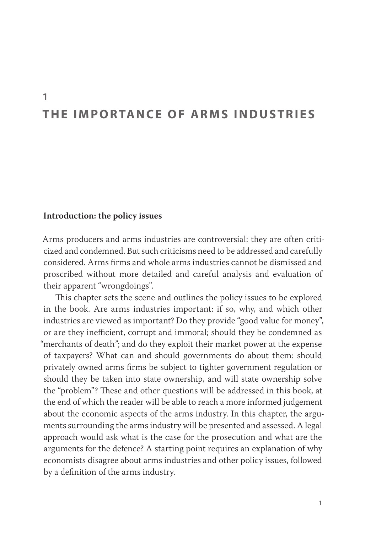# **THE IMPORTANCE OF ARMS INDUSTRIES**

### **Introduction: the policy issues**

**1**

Arms producers and arms industries are controversial: they are often criticized and condemned. But such criticisms need to be addressed and carefully considered. Arms firms and whole arms industries cannot be dismissed and proscribed without more detailed and careful analysis and evaluation of their apparent "wrongdoings".

This chapter sets the scene and outlines the policy issues to be explored in the book. Are arms industries important: if so, why, and which other industries are viewed as important? Do they provide "good value for money", or are they inefficient, corrupt and immoral; should they be condemned as "merchants of death"; and do they exploit their market power at the expense of taxpayers? What can and should governments do about them: should privately owned arms firms be subject to tighter government regulation or should they be taken into state ownership, and will state ownership solve the "problem"? These and other questions will be addressed in this book, at the end of which the reader will be able to reach a more informed judgement about the economic aspects of the arms industry. In this chapter, the arguments surrounding the arms industry will be presented and assessed. A legal approach would ask what is the case for the prosecution and what are the arguments for the defence? A starting point requires an explanation of why economists disagree about arms industries and other policy issues, followed by a definition of the arms industry.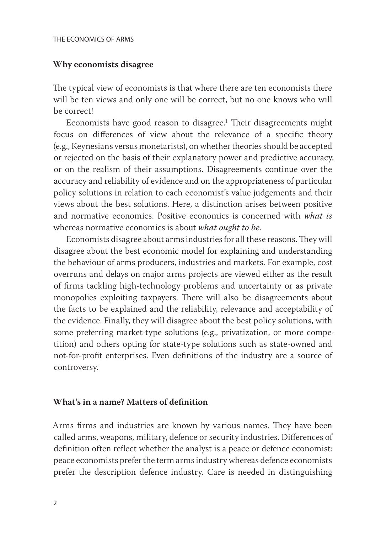## **Why economists disagree**

The typical view of economists is that where there are ten economists there will be ten views and only one will be correct, but no one knows who will be correct!

Economists have good reason to disagree.1 Their disagreements might focus on differences of view about the relevance of a specific theory (e.g., Keynesians versus monetarists), on whether theories should be accepted or rejected on the basis of their explanatory power and predictive accuracy, or on the realism of their assumptions. Disagreements continue over the accuracy and reliability of evidence and on the appropriateness of particular policy solutions in relation to each economist's value judgements and their views about the best solutions. Here, a distinction arises between positive and normative economics. Positive economics is concerned with *what is* whereas normative economics is about *what ought to be*.

Economists disagree about arms industries for all these reasons. They will disagree about the best economic model for explaining and understanding the behaviour of arms producers, industries and markets. For example, cost overruns and delays on major arms projects are viewed either as the result of firms tackling high-technology problems and uncertainty or as private monopolies exploiting taxpayers. There will also be disagreements about the facts to be explained and the reliability, relevance and acceptability of the evidence. Finally, they will disagree about the best policy solutions, with some preferring market-type solutions (e.g., privatization, or more competition) and others opting for state-type solutions such as state-owned and not-for-profit enterprises. Even definitions of the industry are a source of controversy.

# **What's in a name? Matters of definition**

Arms firms and industries are known by various names. They have been called arms, weapons, military, defence or security industries. Differences of definition often reflect whether the analyst is a peace or defence economist: peace economists prefer the term arms industry whereas defence economists prefer the description defence industry. Care is needed in distinguishing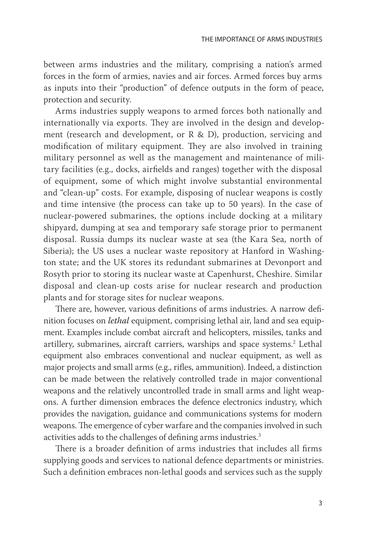between arms industries and the military, comprising a nation's armed forces in the form of armies, navies and air forces. Armed forces buy arms as inputs into their "production" of defence outputs in the form of peace, protection and security.

Arms industries supply weapons to armed forces both nationally and internationally via exports. They are involved in the design and development (research and development, or  $R \& D$ ), production, servicing and modification of military equipment. They are also involved in training military personnel as well as the management and maintenance of military facilities (e.g., docks, airfields and ranges) together with the disposal of equipment, some of which might involve substantial environmental and "clean-up" costs. For example, disposing of nuclear weapons is costly and time intensive (the process can take up to 50 years). In the case of nuclear-powered submarines, the options include docking at a military shipyard, dumping at sea and temporary safe storage prior to permanent disposal. Russia dumps its nuclear waste at sea (the Kara Sea, north of Siberia); the US uses a nuclear waste repository at Hanford in Washington state; and the UK stores its redundant submarines at Devonport and Rosyth prior to storing its nuclear waste at Capenhurst, Cheshire. Similar disposal and clean-up costs arise for nuclear research and production plants and for storage sites for nuclear weapons.

There are, however, various definitions of arms industries. A narrow definition focuses on *lethal* equipment, comprising lethal air, land and sea equipment. Examples include combat aircraft and helicopters, missiles, tanks and artillery, submarines, aircraft carriers, warships and space systems.<sup>2</sup> Lethal equipment also embraces conventional and nuclear equipment, as well as major projects and small arms (e.g., rifles, ammunition). Indeed, a distinction can be made between the relatively controlled trade in major conventional weapons and the relatively uncontrolled trade in small arms and light weapons. A further dimension embraces the defence electronics industry, which provides the navigation, guidance and communications systems for modern weapons. The emergence of cyber warfare and the companies involved in such activities adds to the challenges of defining arms industries.<sup>3</sup>

There is a broader definition of arms industries that includes all firms supplying goods and services to national defence departments or ministries. Such a definition embraces non-lethal goods and services such as the supply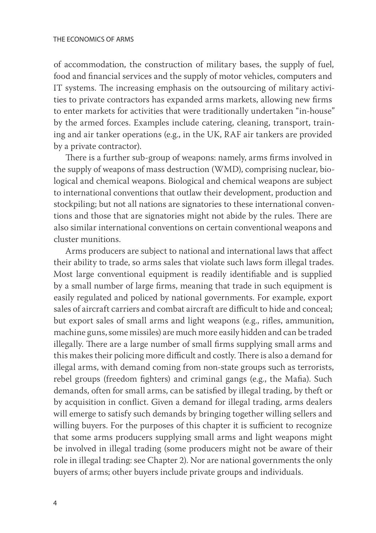of accommodation, the construction of military bases, the supply of fuel, food and financial services and the supply of motor vehicles, computers and IT systems. The increasing emphasis on the outsourcing of military activities to private contractors has expanded arms markets, allowing new firms to enter markets for activities that were traditionally undertaken "in-house" by the armed forces. Examples include catering, cleaning, transport, training and air tanker operations (e.g., in the UK, RAF air tankers are provided by a private contractor).

There is a further sub-group of weapons: namely, arms firms involved in the supply of weapons of mass destruction (WMD), comprising nuclear, biological and chemical weapons. Biological and chemical weapons are subject to international conventions that outlaw their development, production and stockpiling; but not all nations are signatories to these international conventions and those that are signatories might not abide by the rules. There are also similar international conventions on certain conventional weapons and cluster munitions.

Arms producers are subject to national and international laws that affect their ability to trade, so arms sales that violate such laws form illegal trades. Most large conventional equipment is readily identifiable and is supplied by a small number of large firms, meaning that trade in such equipment is easily regulated and policed by national governments. For example, export sales of aircraft carriers and combat aircraft are difficult to hide and conceal; but export sales of small arms and light weapons (e.g., rifles, ammunition, machine guns, some missiles) are much more easily hidden and can be traded illegally. There are a large number of small firms supplying small arms and this makes their policing more difficult and costly. There is also a demand for illegal arms, with demand coming from non-state groups such as terrorists, rebel groups (freedom fighters) and criminal gangs (e.g., the Mafia). Such demands, often for small arms, can be satisfied by illegal trading, by theft or by acquisition in conflict. Given a demand for illegal trading, arms dealers will emerge to satisfy such demands by bringing together willing sellers and willing buyers. For the purposes of this chapter it is sufficient to recognize that some arms producers supplying small arms and light weapons might be involved in illegal trading (some producers might not be aware of their role in illegal trading: see Chapter 2). Nor are national governments the only buyers of arms; other buyers include private groups and individuals.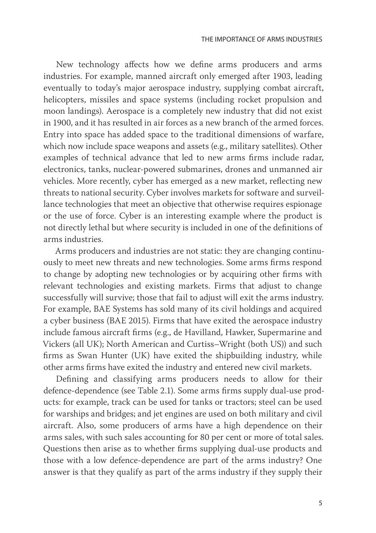New technology affects how we define arms producers and arms industries. For example, manned aircraft only emerged after 1903, leading eventually to today's major aerospace industry, supplying combat aircraft, helicopters, missiles and space systems (including rocket propulsion and moon landings). Aerospace is a completely new industry that did not exist in 1900, and it has resulted in air forces as a new branch of the armed forces. Entry into space has added space to the traditional dimensions of warfare, which now include space weapons and assets (e.g., military satellites). Other examples of technical advance that led to new arms firms include radar, electronics, tanks, nuclear-powered submarines, drones and unmanned air vehicles. More recently, cyber has emerged as a new market, reflecting new threats to national security. Cyber involves markets for software and surveillance technologies that meet an objective that otherwise requires espionage or the use of force. Cyber is an interesting example where the product is not directly lethal but where security is included in one of the definitions of arms industries.

Arms producers and industries are not static: they are changing continuously to meet new threats and new technologies. Some arms firms respond to change by adopting new technologies or by acquiring other firms with relevant technologies and existing markets. Firms that adjust to change successfully will survive; those that fail to adjust will exit the arms industry. For example, BAE Systems has sold many of its civil holdings and acquired a cyber business (BAE 2015). Firms that have exited the aerospace industry include famous aircraft firms (e.g., de Havilland, Hawker, Supermarine and Vickers (all UK); North American and Curtiss–Wright (both US)) and such firms as Swan Hunter (UK) have exited the shipbuilding industry, while other arms firms have exited the industry and entered new civil markets.

Defining and classifying arms producers needs to allow for their defence-dependence (see Table 2.1). Some arms firms supply dual-use products: for example, track can be used for tanks or tractors; steel can be used for warships and bridges; and jet engines are used on both military and civil aircraft. Also, some producers of arms have a high dependence on their arms sales, with such sales accounting for 80 per cent or more of total sales. Questions then arise as to whether firms supplying dual-use products and those with a low defence-dependence are part of the arms industry? One answer is that they qualify as part of the arms industry if they supply their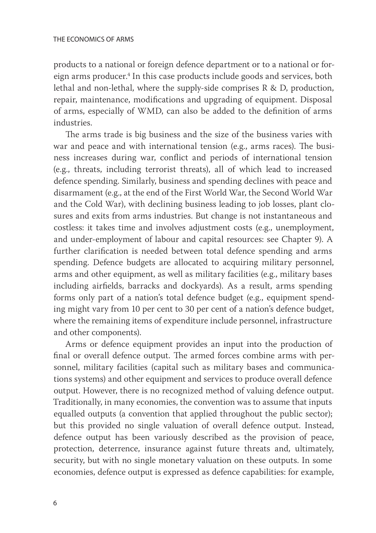products to a national or foreign defence department or to a national or foreign arms producer.4 In this case products include goods and services, both lethal and non-lethal, where the supply-side comprises R & D, production, repair, maintenance, modifications and upgrading of equipment. Disposal of arms, especially of WMD, can also be added to the definition of arms industries.

The arms trade is big business and the size of the business varies with war and peace and with international tension (e.g., arms races). The business increases during war, conflict and periods of international tension (e.g., threats, including terrorist threats), all of which lead to increased defence spending. Similarly, business and spending declines with peace and disarmament (e.g., at the end of the First World War, the Second World War and the Cold War), with declining business leading to job losses, plant closures and exits from arms industries. But change is not instantaneous and costless: it takes time and involves adjustment costs (e.g., unemployment, and under-employment of labour and capital resources: see Chapter 9). A further clarification is needed between total defence spending and arms spending. Defence budgets are allocated to acquiring military personnel, arms and other equipment, as well as military facilities (e.g., military bases including airfields, barracks and dockyards). As a result, arms spending forms only part of a nation's total defence budget (e.g., equipment spending might vary from 10 per cent to 30 per cent of a nation's defence budget, where the remaining items of expenditure include personnel, infrastructure and other components).

Arms or defence equipment provides an input into the production of final or overall defence output. The armed forces combine arms with personnel, military facilities (capital such as military bases and communications systems) and other equipment and services to produce overall defence output. However, there is no recognized method of valuing defence output. Traditionally, in many economies, the convention was to assume that inputs equalled outputs (a convention that applied throughout the public sector); but this provided no single valuation of overall defence output. Instead, defence output has been variously described as the provision of peace, protection, deterrence, insurance against future threats and, ultimately, security, but with no single monetary valuation on these outputs. In some economies, defence output is expressed as defence capabilities: for example,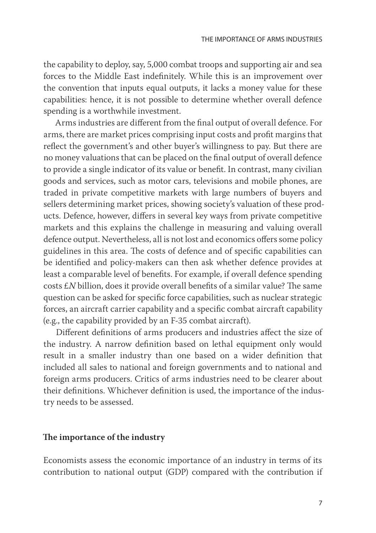the capability to deploy, say, 5,000 combat troops and supporting air and sea forces to the Middle East indefinitely. While this is an improvement over the convention that inputs equal outputs, it lacks a money value for these capabilities: hence, it is not possible to determine whether overall defence spending is a worthwhile investment.

Arms industries are different from the final output of overall defence. For arms, there are market prices comprising input costs and profit margins that reflect the government's and other buyer's willingness to pay. But there are no money valuations that can be placed on the final output of overall defence to provide a single indicator of its value or benefit. In contrast, many civilian goods and services, such as motor cars, televisions and mobile phones, are traded in private competitive markets with large numbers of buyers and sellers determining market prices, showing society's valuation of these products. Defence, however, differs in several key ways from private competitive markets and this explains the challenge in measuring and valuing overall defence output. Nevertheless, all is not lost and economics offers some policy guidelines in this area. The costs of defence and of specific capabilities can be identified and policy-makers can then ask whether defence provides at least a comparable level of benefits. For example, if overall defence spending costs £*N* billion, does it provide overall benefits of a similar value? The same question can be asked for specific force capabilities, such as nuclear strategic forces, an aircraft carrier capability and a specific combat aircraft capability (e.g., the capability provided by an F-35 combat aircraft).

Different definitions of arms producers and industries affect the size of the industry. A narrow definition based on lethal equipment only would result in a smaller industry than one based on a wider definition that included all sales to national and foreign governments and to national and foreign arms producers. Critics of arms industries need to be clearer about their definitions. Whichever definition is used, the importance of the industry needs to be assessed.

## **The importance of the industry**

Economists assess the economic importance of an industry in terms of its contribution to national output (GDP) compared with the contribution if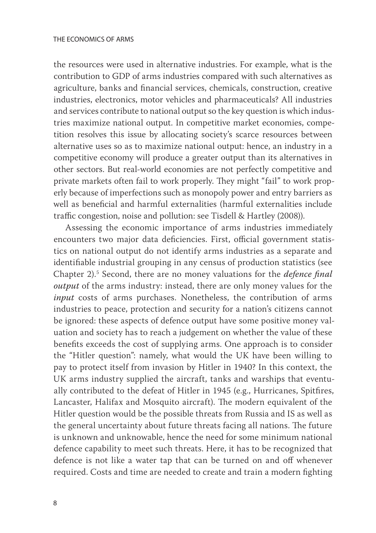the resources were used in alternative industries. For example, what is the contribution to GDP of arms industries compared with such alternatives as agriculture, banks and financial services, chemicals, construction, creative industries, electronics, motor vehicles and pharmaceuticals? All industries and services contribute to national output so the key question is which industries maximize national output. In competitive market economies, competition resolves this issue by allocating society's scarce resources between alternative uses so as to maximize national output: hence, an industry in a competitive economy will produce a greater output than its alternatives in other sectors. But real-world economies are not perfectly competitive and private markets often fail to work properly. They might "fail" to work properly because of imperfections such as monopoly power and entry barriers as well as beneficial and harmful externalities (harmful externalities include traffic congestion, noise and pollution: see Tisdell & Hartley (2008)).

Assessing the economic importance of arms industries immediately encounters two major data deficiencies. First, official government statistics on national output do not identify arms industries as a separate and identifiable industrial grouping in any census of production statistics (see Chapter 2).<sup>5</sup> Second, there are no money valuations for the *defence final output* of the arms industry: instead, there are only money values for the *input* costs of arms purchases. Nonetheless, the contribution of arms industries to peace, protection and security for a nation's citizens cannot be ignored: these aspects of defence output have some positive money valuation and society has to reach a judgement on whether the value of these benefits exceeds the cost of supplying arms. One approach is to consider the "Hitler question": namely, what would the UK have been willing to pay to protect itself from invasion by Hitler in 1940? In this context, the UK arms industry supplied the aircraft, tanks and warships that eventually contributed to the defeat of Hitler in 1945 (e.g., Hurricanes, Spitfires, Lancaster, Halifax and Mosquito aircraft). The modern equivalent of the Hitler question would be the possible threats from Russia and IS as well as the general uncertainty about future threats facing all nations. The future is unknown and unknowable, hence the need for some minimum national defence capability to meet such threats. Here, it has to be recognized that defence is not like a water tap that can be turned on and off whenever required. Costs and time are needed to create and train a modern fighting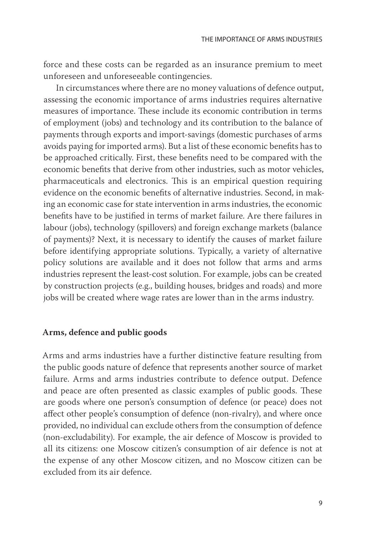force and these costs can be regarded as an insurance premium to meet unforeseen and unforeseeable contingencies.

In circumstances where there are no money valuations of defence output, assessing the economic importance of arms industries requires alternative measures of importance. These include its economic contribution in terms of employment (jobs) and technology and its contribution to the balance of payments through exports and import-savings (domestic purchases of arms avoids paying for imported arms). But a list of these economic benefits has to be approached critically. First, these benefits need to be compared with the economic benefits that derive from other industries, such as motor vehicles, pharmaceuticals and electronics. This is an empirical question requiring evidence on the economic benefits of alternative industries. Second, in making an economic case for state intervention in arms industries, the economic benefits have to be justified in terms of market failure. Are there failures in labour (jobs), technology (spillovers) and foreign exchange markets (balance of payments)? Next, it is necessary to identify the causes of market failure before identifying appropriate solutions. Typically, a variety of alternative policy solutions are available and it does not follow that arms and arms industries represent the least-cost solution. For example, jobs can be created by construction projects (e.g., building houses, bridges and roads) and more jobs will be created where wage rates are lower than in the arms industry.

## **Arms, defence and public goods**

Arms and arms industries have a further distinctive feature resulting from the public goods nature of defence that represents another source of market failure. Arms and arms industries contribute to defence output. Defence and peace are often presented as classic examples of public goods. These are goods where one person's consumption of defence (or peace) does not affect other people's consumption of defence (non-rivalry), and where once provided, no individual can exclude others from the consumption of defence (non-excludability). For example, the air defence of Moscow is provided to all its citizens: one Moscow citizen's consumption of air defence is not at the expense of any other Moscow citizen, and no Moscow citizen can be excluded from its air defence.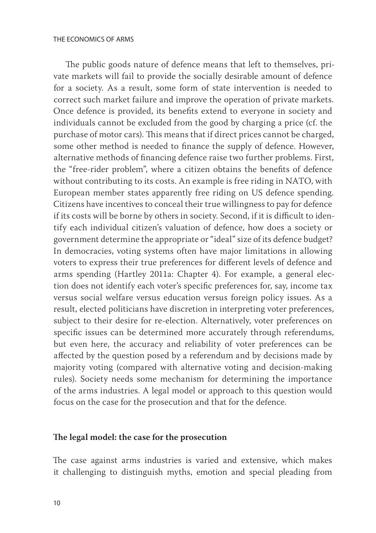The public goods nature of defence means that left to themselves, private markets will fail to provide the socially desirable amount of defence for a society. As a result, some form of state intervention is needed to correct such market failure and improve the operation of private markets. Once defence is provided, its benefits extend to everyone in society and individuals cannot be excluded from the good by charging a price (cf. the purchase of motor cars). This means that if direct prices cannot be charged, some other method is needed to finance the supply of defence. However, alternative methods of financing defence raise two further problems. First, the "free-rider problem", where a citizen obtains the benefits of defence without contributing to its costs. An example is free riding in NATO, with European member states apparently free riding on US defence spending. Citizens have incentives to conceal their true willingness to pay for defence if its costs will be borne by others in society. Second, if it is difficult to identify each individual citizen's valuation of defence, how does a society or government determine the appropriate or "ideal" size of its defence budget? In democracies, voting systems often have major limitations in allowing voters to express their true preferences for different levels of defence and arms spending (Hartley 2011a: Chapter 4). For example, a general election does not identify each voter's specific preferences for, say, income tax versus social welfare versus education versus foreign policy issues. As a result, elected politicians have discretion in interpreting voter preferences, subject to their desire for re-election. Alternatively, voter preferences on specific issues can be determined more accurately through referendums, but even here, the accuracy and reliability of voter preferences can be affected by the question posed by a referendum and by decisions made by majority voting (compared with alternative voting and decision-making rules). Society needs some mechanism for determining the importance of the arms industries. A legal model or approach to this question would focus on the case for the prosecution and that for the defence.

#### **The legal model: the case for the prosecution**

The case against arms industries is varied and extensive, which makes it challenging to distinguish myths, emotion and special pleading from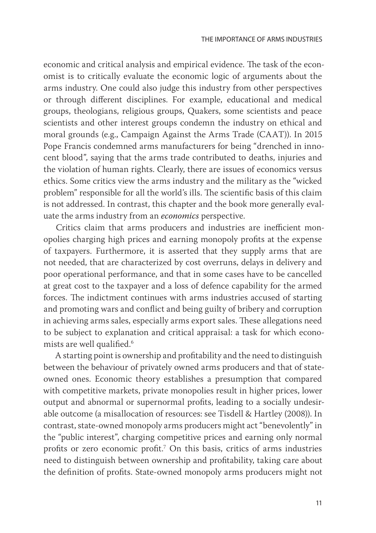economic and critical analysis and empirical evidence. The task of the economist is to critically evaluate the economic logic of arguments about the arms industry. One could also judge this industry from other perspectives or through different disciplines. For example, educational and medical groups, theologians, religious groups, Quakers, some scientists and peace scientists and other interest groups condemn the industry on ethical and moral grounds (e.g., Campaign Against the Arms Trade (CAAT)). In 2015 Pope Francis condemned arms manufacturers for being "drenched in innocent blood", saying that the arms trade contributed to deaths, injuries and the violation of human rights. Clearly, there are issues of economics versus ethics. Some critics view the arms industry and the military as the "wicked problem" responsible for all the world's ills. The scientific basis of this claim is not addressed. In contrast, this chapter and the book more generally evaluate the arms industry from an *economics* perspective.

Critics claim that arms producers and industries are inefficient monopolies charging high prices and earning monopoly profits at the expense of taxpayers. Furthermore, it is asserted that they supply arms that are not needed, that are characterized by cost overruns, delays in delivery and poor operational performance, and that in some cases have to be cancelled at great cost to the taxpayer and a loss of defence capability for the armed forces. The indictment continues with arms industries accused of starting and promoting wars and conflict and being guilty of bribery and corruption in achieving arms sales, especially arms export sales. These allegations need to be subject to explanation and critical appraisal: a task for which economists are well qualified.6

A starting point is ownership and profitability and the need to distinguish between the behaviour of privately owned arms producers and that of stateowned ones. Economic theory establishes a presumption that compared with competitive markets, private monopolies result in higher prices, lower output and abnormal or supernormal profits, leading to a socially undesirable outcome (a misallocation of resources: see Tisdell & Hartley (2008)). In contrast, state-owned monopoly arms producers might act "benevolently" in the "public interest", charging competitive prices and earning only normal profits or zero economic profit.7 On this basis, critics of arms industries need to distinguish between ownership and profitability, taking care about the definition of profits. State-owned monopoly arms producers might not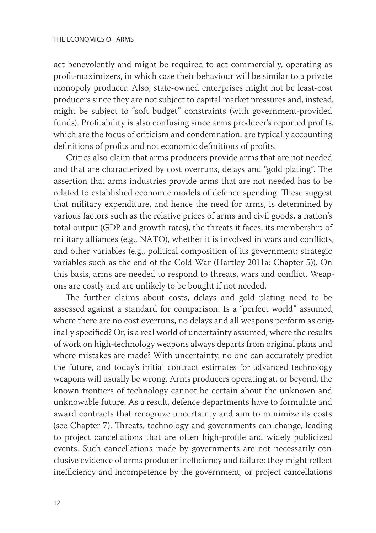act benevolently and might be required to act commercially, operating as profit-maximizers, in which case their behaviour will be similar to a private monopoly producer. Also, state-owned enterprises might not be least-cost producers since they are not subject to capital market pressures and, instead, might be subject to "soft budget" constraints (with government-provided funds). Profitability is also confusing since arms producer's reported profits, which are the focus of criticism and condemnation, are typically accounting definitions of profits and not economic definitions of profits.

Critics also claim that arms producers provide arms that are not needed and that are characterized by cost overruns, delays and "gold plating". The assertion that arms industries provide arms that are not needed has to be related to established economic models of defence spending. These suggest that military expenditure, and hence the need for arms, is determined by various factors such as the relative prices of arms and civil goods, a nation's total output (GDP and growth rates), the threats it faces, its membership of military alliances (e.g., NATO), whether it is involved in wars and conflicts, and other variables (e.g., political composition of its government; strategic variables such as the end of the Cold War (Hartley 2011a: Chapter 5)). On this basis, arms are needed to respond to threats, wars and conflict. Weapons are costly and are unlikely to be bought if not needed.

The further claims about costs, delays and gold plating need to be assessed against a standard for comparison. Is a "perfect world" assumed, where there are no cost overruns, no delays and all weapons perform as originally specified? Or, is a real world of uncertainty assumed, where the results of work on high-technology weapons always departs from original plans and where mistakes are made? With uncertainty, no one can accurately predict the future, and today's initial contract estimates for advanced technology weapons will usually be wrong. Arms producers operating at, or beyond, the known frontiers of technology cannot be certain about the unknown and unknowable future. As a result, defence departments have to formulate and award contracts that recognize uncertainty and aim to minimize its costs (see Chapter 7). Threats, technology and governments can change, leading to project cancellations that are often high-profile and widely publicized events. Such cancellations made by governments are not necessarily conclusive evidence of arms producer inefficiency and failure: they might reflect inefficiency and incompetence by the government, or project cancellations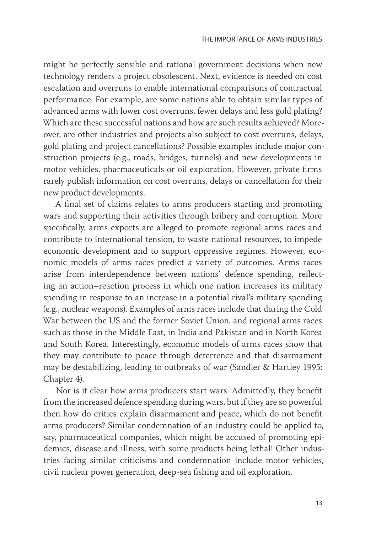might be perfectly sensible and rational government decisions when new technology renders a project obsolescent. Next, evidence is needed on cost escalation and overruns to enable international comparisons of contractual performance. For example, are some nations able to obtain similar types of advanced arms with lower cost overruns, fewer delays and less gold plating? Which are these successful nations and how are such results achieved? Moreover, are other industries and projects also subject to cost overruns, delays, gold plating and project cancellations? Possible examples include major construction projects (e.g., roads, bridges, tunnels) and new developments in motor vehicles, pharmaceuticals or oil exploration. However, private firms rarely publish information on cost overruns, delays or cancellation for their new product developments.

A final set of claims relates to arms producers starting and promoting wars and supporting their activities through bribery and corruption. More specifically, arms exports are alleged to promote regional arms races and contribute to international tension, to waste national resources, to impede economic development and to support oppressive regimes. However, economic models of arms races predict a variety of outcomes. Arms races arise from interdependence between nations' defence spending, reflecting an action–reaction process in which one nation increases its military spending in response to an increase in a potential rival's military spending (e.g., nuclear weapons). Examples of arms races include that during the Cold War between the US and the former Soviet Union, and regional arms races such as those in the Middle East, in India and Pakistan and in North Korea and South Korea. Interestingly, economic models of arms races show that they may contribute to peace through deterrence and that disarmament may be destabilizing, leading to outbreaks of war (Sandler & Hartley 1995: Chapter 4).

Nor is it clear how arms producers start wars. Admittedly, they benefit from the increased defence spending during wars, but if they are so powerful then how do critics explain disarmament and peace, which do not benefit arms producers? Similar condemnation of an industry could be applied to, say, pharmaceutical companies, which might be accused of promoting epidemics, disease and illness, with some products being lethal! Other industries facing similar criticisms and condemnation include motor vehicles, civil nuclear power generation, deep-sea fishing and oil exploration.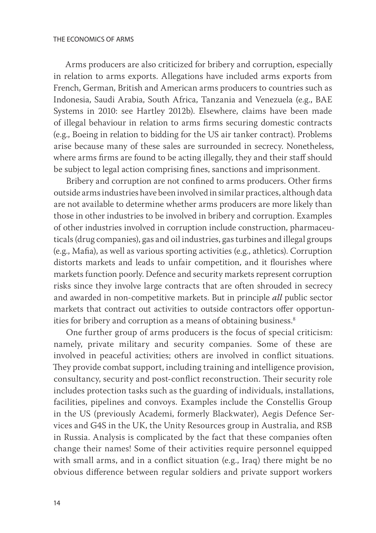#### THE ECONOMICS OF ARMS

Arms producers are also criticized for bribery and corruption, especially in relation to arms exports. Allegations have included arms exports from French, German, British and American arms producers to countries such as Indonesia, Saudi Arabia, South Africa, Tanzania and Venezuela (e.g., BAE Systems in 2010: see Hartley 2012b). Elsewhere, claims have been made of illegal behaviour in relation to arms firms securing domestic contracts (e.g., Boeing in relation to bidding for the US air tanker contract). Problems arise because many of these sales are surrounded in secrecy. Nonetheless, where arms firms are found to be acting illegally, they and their staff should be subject to legal action comprising fines, sanctions and imprisonment.

Bribery and corruption are not confined to arms producers. Other firms outside arms industries have been involved in similar practices, although data are not available to determine whether arms producers are more likely than those in other industries to be involved in bribery and corruption. Examples of other industries involved in corruption include construction, pharmaceuticals (drug companies), gas and oil industries, gas turbines and illegal groups (e.g., Mafia), as well as various sporting activities (e.g., athletics). Corruption distorts markets and leads to unfair competition, and it flourishes where markets function poorly. Defence and security markets represent corruption risks since they involve large contracts that are often shrouded in secrecy and awarded in non-competitive markets. But in principle *all* public sector markets that contract out activities to outside contractors offer opportunities for bribery and corruption as a means of obtaining business.<sup>8</sup>

One further group of arms producers is the focus of special criticism: namely, private military and security companies. Some of these are involved in peaceful activities; others are involved in conflict situations. They provide combat support, including training and intelligence provision, consultancy, security and post-conflict reconstruction. Their security role includes protection tasks such as the guarding of individuals, installations, facilities, pipelines and convoys. Examples include the Constellis Group in the US (previously Academi, formerly Blackwater), Aegis Defence Services and G4S in the UK, the Unity Resources group in Australia, and RSB in Russia. Analysis is complicated by the fact that these companies often change their names! Some of their activities require personnel equipped with small arms, and in a conflict situation (e.g., Iraq) there might be no obvious difference between regular soldiers and private support workers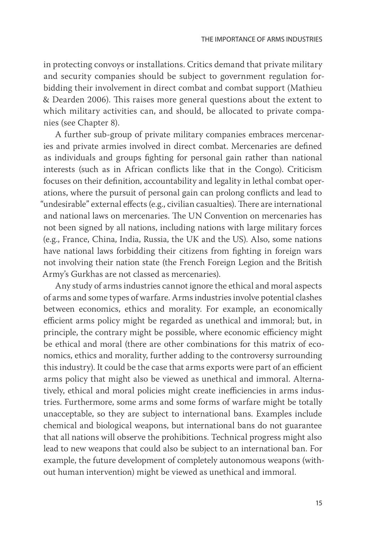in protecting convoys or installations. Critics demand that private military and security companies should be subject to government regulation forbidding their involvement in direct combat and combat support (Mathieu & Dearden 2006). This raises more general questions about the extent to which military activities can, and should, be allocated to private companies (see Chapter 8).

A further sub-group of private military companies embraces mercenaries and private armies involved in direct combat. Mercenaries are defined as individuals and groups fighting for personal gain rather than national interests (such as in African conflicts like that in the Congo). Criticism focuses on their definition, accountability and legality in lethal combat operations, where the pursuit of personal gain can prolong conflicts and lead to "undesirable" external effects (e.g., civilian casualties). There are international and national laws on mercenaries. The UN Convention on mercenaries has not been signed by all nations, including nations with large military forces (e.g., France, China, India, Russia, the UK and the US). Also, some nations have national laws forbidding their citizens from fighting in foreign wars not involving their nation state (the French Foreign Legion and the British Army's Gurkhas are not classed as mercenaries).

Any study of arms industries cannot ignore the ethical and moral aspects of arms and some types of warfare. Arms industries involve potential clashes between economics, ethics and morality. For example, an economically efficient arms policy might be regarded as unethical and immoral; but, in principle, the contrary might be possible, where economic efficiency might be ethical and moral (there are other combinations for this matrix of economics, ethics and morality, further adding to the controversy surrounding this industry). It could be the case that arms exports were part of an efficient arms policy that might also be viewed as unethical and immoral. Alternatively, ethical and moral policies might create inefficiencies in arms industries. Furthermore, some arms and some forms of warfare might be totally unacceptable, so they are subject to international bans. Examples include chemical and biological weapons, but international bans do not guarantee that all nations will observe the prohibitions. Technical progress might also lead to new weapons that could also be subject to an international ban. For example, the future development of completely autonomous weapons (without human intervention) might be viewed as unethical and immoral.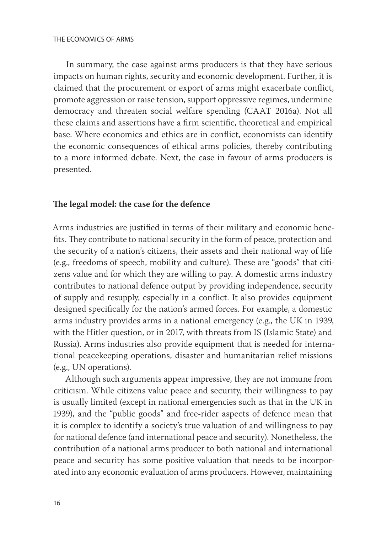In summary, the case against arms producers is that they have serious impacts on human rights, security and economic development. Further, it is claimed that the procurement or export of arms might exacerbate conflict, promote aggression or raise tension, support oppressive regimes, undermine democracy and threaten social welfare spending (CAAT 2016a). Not all these claims and assertions have a firm scientific, theoretical and empirical base. Where economics and ethics are in conflict, economists can identify the economic consequences of ethical arms policies, thereby contributing to a more informed debate. Next, the case in favour of arms producers is presented.

# **The legal model: the case for the defence**

Arms industries are justified in terms of their military and economic benefits. They contribute to national security in the form of peace, protection and the security of a nation's citizens, their assets and their national way of life (e.g., freedoms of speech, mobility and culture). These are "goods" that citizens value and for which they are willing to pay. A domestic arms industry contributes to national defence output by providing independence, security of supply and resupply, especially in a conflict. It also provides equipment designed specifically for the nation's armed forces. For example, a domestic arms industry provides arms in a national emergency (e.g., the UK in 1939, with the Hitler question, or in 2017, with threats from IS (Islamic State) and Russia). Arms industries also provide equipment that is needed for international peacekeeping operations, disaster and humanitarian relief missions (e.g., UN operations).

Although such arguments appear impressive, they are not immune from criticism. While citizens value peace and security, their willingness to pay is usually limited (except in national emergencies such as that in the UK in 1939), and the "public goods" and free-rider aspects of defence mean that it is complex to identify a society's true valuation of and willingness to pay for national defence (and international peace and security). Nonetheless, the contribution of a national arms producer to both national and international peace and security has some positive valuation that needs to be incorporated into any economic evaluation of arms producers. However, maintaining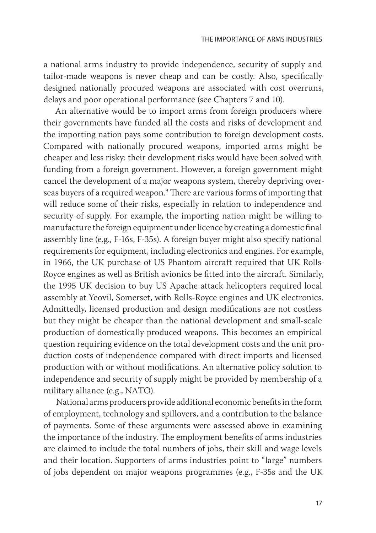a national arms industry to provide independence, security of supply and tailor-made weapons is never cheap and can be costly. Also, specifically designed nationally procured weapons are associated with cost overruns, delays and poor operational performance (see Chapters 7 and 10).

An alternative would be to import arms from foreign producers where their governments have funded all the costs and risks of development and the importing nation pays some contribution to foreign development costs. Compared with nationally procured weapons, imported arms might be cheaper and less risky: their development risks would have been solved with funding from a foreign government. However, a foreign government might cancel the development of a major weapons system, thereby depriving overseas buyers of a required weapon.9 There are various forms of importing that will reduce some of their risks, especially in relation to independence and security of supply. For example, the importing nation might be willing to manufacture the foreign equipment under licence by creating a domestic final assembly line (e.g., F-16s, F-35s). A foreign buyer might also specify national requirements for equipment, including electronics and engines. For example, in 1966, the UK purchase of US Phantom aircraft required that UK Rolls-Royce engines as well as British avionics be fitted into the aircraft. Similarly, the 1995 UK decision to buy US Apache attack helicopters required local assembly at Yeovil, Somerset, with Rolls-Royce engines and UK electronics. Admittedly, licensed production and design modifications are not costless but they might be cheaper than the national development and small-scale production of domestically produced weapons. This becomes an empirical question requiring evidence on the total development costs and the unit production costs of independence compared with direct imports and licensed production with or without modifications. An alternative policy solution to independence and security of supply might be provided by membership of a military alliance (e.g., NATO).

National arms producers provide additional economic benefits in the form of employment, technology and spillovers, and a contribution to the balance of payments. Some of these arguments were assessed above in examining the importance of the industry. The employment benefits of arms industries are claimed to include the total numbers of jobs, their skill and wage levels and their location. Supporters of arms industries point to "large" numbers of jobs dependent on major weapons programmes (e.g., F-35s and the UK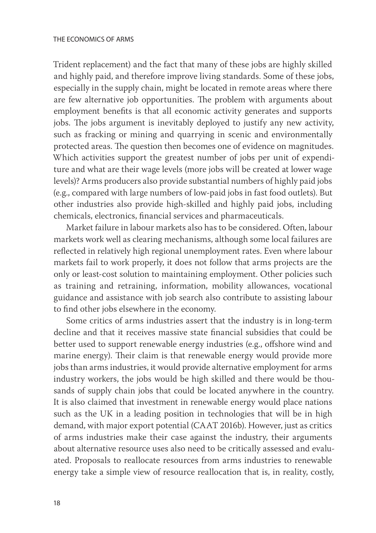Trident replacement) and the fact that many of these jobs are highly skilled and highly paid, and therefore improve living standards. Some of these jobs, especially in the supply chain, might be located in remote areas where there are few alternative job opportunities. The problem with arguments about employment benefits is that all economic activity generates and supports jobs. The jobs argument is inevitably deployed to justify any new activity, such as fracking or mining and quarrying in scenic and environmentally protected areas. The question then becomes one of evidence on magnitudes. Which activities support the greatest number of jobs per unit of expenditure and what are their wage levels (more jobs will be created at lower wage levels)? Arms producers also provide substantial numbers of highly paid jobs (e.g., compared with large numbers of low-paid jobs in fast food outlets). But other industries also provide high-skilled and highly paid jobs, including chemicals, electronics, financial services and pharmaceuticals.

Market failure in labour markets also has to be considered. Often, labour markets work well as clearing mechanisms, although some local failures are reflected in relatively high regional unemployment rates. Even where labour markets fail to work properly, it does not follow that arms projects are the only or least-cost solution to maintaining employment. Other policies such as training and retraining, information, mobility allowances, vocational guidance and assistance with job search also contribute to assisting labour to find other jobs elsewhere in the economy.

Some critics of arms industries assert that the industry is in long-term decline and that it receives massive state financial subsidies that could be better used to support renewable energy industries (e.g., offshore wind and marine energy). Their claim is that renewable energy would provide more jobs than arms industries, it would provide alternative employment for arms industry workers, the jobs would be high skilled and there would be thousands of supply chain jobs that could be located anywhere in the country. It is also claimed that investment in renewable energy would place nations such as the UK in a leading position in technologies that will be in high demand, with major export potential (CAAT 2016b). However, just as critics of arms industries make their case against the industry, their arguments about alternative resource uses also need to be critically assessed and evaluated. Proposals to reallocate resources from arms industries to renewable energy take a simple view of resource reallocation that is, in reality, costly,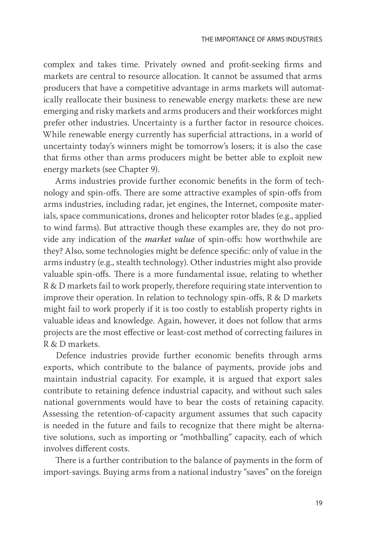complex and takes time. Privately owned and profit-seeking firms and markets are central to resource allocation. It cannot be assumed that arms producers that have a competitive advantage in arms markets will automatically reallocate their business to renewable energy markets: these are new emerging and risky markets and arms producers and their workforces might prefer other industries. Uncertainty is a further factor in resource choices. While renewable energy currently has superficial attractions, in a world of uncertainty today's winners might be tomorrow's losers; it is also the case that firms other than arms producers might be better able to exploit new energy markets (see Chapter 9).

Arms industries provide further economic benefits in the form of technology and spin-offs. There are some attractive examples of spin-offs from arms industries, including radar, jet engines, the Internet, composite materials, space communications, drones and helicopter rotor blades (e.g., applied to wind farms). But attractive though these examples are, they do not provide any indication of the *market value* of spin-offs: how worthwhile are they? Also, some technologies might be defence specific: only of value in the arms industry (e.g., stealth technology). Other industries might also provide valuable spin-offs. There is a more fundamental issue, relating to whether R & D markets fail to work properly, therefore requiring state intervention to improve their operation. In relation to technology spin-offs, R & D markets might fail to work properly if it is too costly to establish property rights in valuable ideas and knowledge. Again, however, it does not follow that arms projects are the most effective or least-cost method of correcting failures in R & D markets.

Defence industries provide further economic benefits through arms exports, which contribute to the balance of payments, provide jobs and maintain industrial capacity. For example, it is argued that export sales contribute to retaining defence industrial capacity, and without such sales national governments would have to bear the costs of retaining capacity. Assessing the retention-of-capacity argument assumes that such capacity is needed in the future and fails to recognize that there might be alternative solutions, such as importing or "mothballing" capacity, each of which involves different costs.

There is a further contribution to the balance of payments in the form of import-savings. Buying arms from a national industry "saves" on the foreign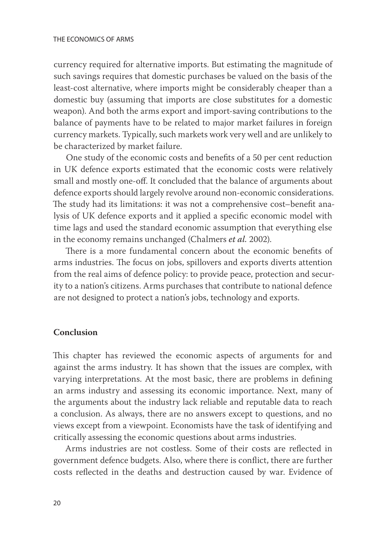currency required for alternative imports. But estimating the magnitude of such savings requires that domestic purchases be valued on the basis of the least-cost alternative, where imports might be considerably cheaper than a domestic buy (assuming that imports are close substitutes for a domestic weapon). And both the arms export and import-saving contributions to the balance of payments have to be related to major market failures in foreign currency markets. Typically, such markets work very well and are unlikely to be characterized by market failure.

One study of the economic costs and benefits of a 50 per cent reduction in UK defence exports estimated that the economic costs were relatively small and mostly one-off. It concluded that the balance of arguments about defence exports should largely revolve around non-economic considerations. The study had its limitations: it was not a comprehensive cost–benefit analysis of UK defence exports and it applied a specific economic model with time lags and used the standard economic assumption that everything else in the economy remains unchanged (Chalmers *et al.* 2002).

There is a more fundamental concern about the economic benefits of arms industries. The focus on jobs, spillovers and exports diverts attention from the real aims of defence policy: to provide peace, protection and security to a nation's citizens. Arms purchases that contribute to national defence are not designed to protect a nation's jobs, technology and exports.

# **Conclusion**

This chapter has reviewed the economic aspects of arguments for and against the arms industry. It has shown that the issues are complex, with varying interpretations. At the most basic, there are problems in defining an arms industry and assessing its economic importance. Next, many of the arguments about the industry lack reliable and reputable data to reach a conclusion. As always, there are no answers except to questions, and no views except from a viewpoint. Economists have the task of identifying and critically assessing the economic questions about arms industries.

Arms industries are not costless. Some of their costs are reflected in government defence budgets. Also, where there is conflict, there are further costs reflected in the deaths and destruction caused by war. Evidence of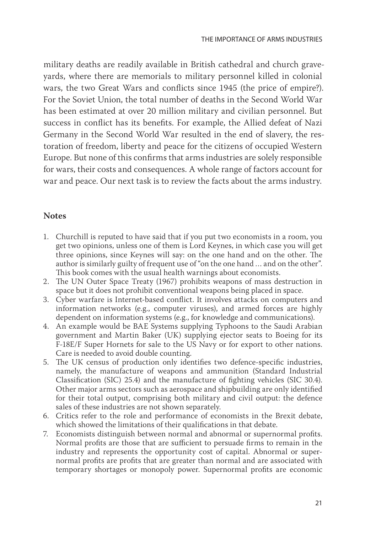military deaths are readily available in British cathedral and church graveyards, where there are memorials to military personnel killed in colonial wars, the two Great Wars and conflicts since 1945 (the price of empire?). For the Soviet Union, the total number of deaths in the Second World War has been estimated at over 20 million military and civilian personnel. But success in conflict has its benefits. For example, the Allied defeat of Nazi Germany in the Second World War resulted in the end of slavery, the restoration of freedom, liberty and peace for the citizens of occupied Western Europe. But none of this confirms that arms industries are solely responsible for wars, their costs and consequences. A whole range of factors account for war and peace. Our next task is to review the facts about the arms industry.

# **Notes**

- 1. Churchill is reputed to have said that if you put two economists in a room, you get two opinions, unless one of them is Lord Keynes, in which case you will get three opinions, since Keynes will say: on the one hand and on the other. The author is similarly guilty of frequent use of "on the one hand … and on the other". This book comes with the usual health warnings about economists.
- 2. The UN Outer Space Treaty (1967) prohibits weapons of mass destruction in space but it does not prohibit conventional weapons being placed in space.
- 3. Cyber warfare is Internet-based conflict. It involves attacks on computers and information networks (e.g., computer viruses), and armed forces are highly dependent on information systems (e.g., for knowledge and communications).
- 4. An example would be BAE Systems supplying Typhoons to the Saudi Arabian government and Martin Baker (UK) supplying ejector seats to Boeing for its F-18E/F Super Hornets for sale to the US Navy or for export to other nations. Care is needed to avoid double counting.
- 5. The UK census of production only identifies two defence-specific industries, namely, the manufacture of weapons and ammunition (Standard Industrial Classification (SIC) 25.4) and the manufacture of fighting vehicles (SIC 30.4). Other major arms sectors such as aerospace and shipbuilding are only identified for their total output, comprising both military and civil output: the defence sales of these industries are not shown separately.
- 6. Critics refer to the role and performance of economists in the Brexit debate, which showed the limitations of their qualifications in that debate.
- 7. Economists distinguish between normal and abnormal or supernormal profits. Normal profits are those that are sufficient to persuade firms to remain in the industry and represents the opportunity cost of capital. Abnormal or supernormal profits are profits that are greater than normal and are associated with temporary shortages or monopoly power. Supernormal profits are economic